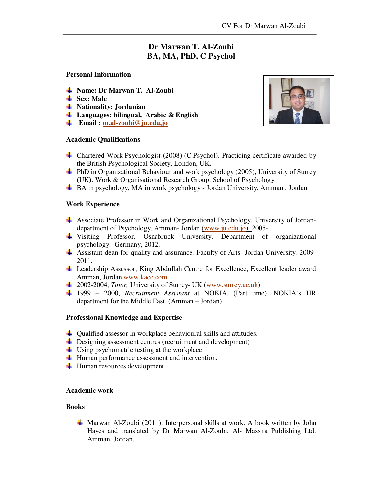# **Dr Marwan T. Al-Zoubi BA, MA, PhD, C Psychol**

#### **Personal Information**

- **Name: Dr Marwan T. Al-Zoubi**
- **Ex**: Male
- **Nationality: Jordanian**
- **Languages: bilingual, Arabic & English**
- **Email : m.al-zoubi@ju.edu.jo**

## **Academic Qualifications**



- Chartered Work Psychologist (2008) (C Psychol). Practicing certificate awarded by the British Psychological Society, London, UK.
- $\downarrow$  PhD in Organizational Behaviour and work psychology (2005), University of Surrey (UK), Work & Organisational Research Group. School of Psychology.
- $\overline{\text{AB}}$  BA in psychology, MA in work psychology Jordan University, Amman, Jordan.

## **Work Experience**

- Associate Professor in Work and Organizational Psychology, University of Jordandepartment of Psychology. Amman- Jordan (www.ju.edu.jo). 2005-.
- Visiting Professor. Osnabruck University, Department of organizational psychology. Germany, 2012.
- Assistant dean for quality and assurance. Faculty of Arts- Jordan University. 2009- 2011.
- Leadership Assessor, King Abdullah Centre for Excellence, Excellent leader award Amman, Jordan www.kace.com
- 2002-2004, *Tutor,* University of Surrey- UK (www.surrey.ac.uk)
- 1999 2000, *Recruitment Assistant* at NOKIA, (Part time). NOKIA's HR department for the Middle East. (Amman – Jordan).

#### **Professional Knowledge and Expertise**

- $\downarrow$  Qualified assessor in workplace behavioural skills and attitudes.
- $\frac{1}{\sqrt{1}}$  Designing assessment centres (recruitment and development)
- $\overline{\text{Using }}$  by using psychometric testing at the workplace
- $\overline{\mathbf{H}}$  Human performance assessment and intervention.
- $\overline{\phantom{a}}$  Human resources development.

#### **Academic work**

#### **Books**

Marwan Al-Zoubi (2011). Interpersonal skills at work. A book written by John Hayes and translated by Dr Marwan Al-Zoubi. Al- Massira Publishing Ltd. Amman, Jordan.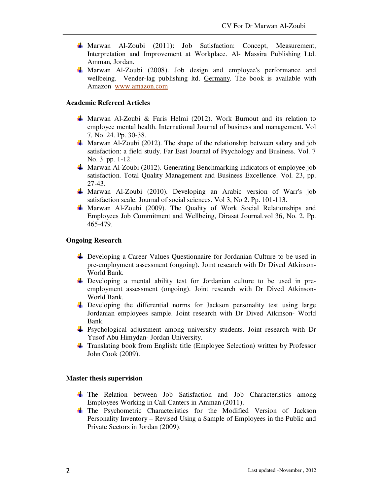- Marwan Al-Zoubi (2011): Job Satisfaction: Concept, Measurement, Interpretation and Improvement at Workplace. Al- Massira Publishing Ltd. Amman, Jordan.
- Marwan Al-Zoubi (2008). Job design and employee's performance and wellbeing. Vender-lag publishing ltd. Germany. The book is available with Amazon www.amazon.com

# **Academic Refereed Articles**

- **Marwan Al-Zoubi & Faris Helmi** (2012). Work Burnout and its relation to employee mental health. International Journal of business and management. Vol 7, No. 24. Pp. 30-38.
- **Marwan Al-Zoubi (2012). The shape of the relationship between salary and job** satisfaction: a field study. Far East Journal of Psychology and Business. Vol. 7 No. 3. pp. 1-12.
- **Marwan Al-Zoubi** (2012). Generating Benchmarking indicators of employee job satisfaction. Total Quality Management and Business Excellence. Vol. 23, pp. 27-43.
- Marwan Al-Zoubi (2010). Developing an Arabic version of Warr's job satisfaction scale. Journal of social sciences. Vol 3, No 2. Pp. 101-113.
- $\frac{1}{2}$  Marwan Al-Zoubi (2009). The Quality of Work Social Relationships and Employees Job Commitment and Wellbeing, Dirasat Journal.vol 36, No. 2. Pp. 465-479.

#### **Ongoing Research**

- Developing a Career Values Questionnaire for Jordanian Culture to be used in pre-employment assessment (ongoing). Joint research with Dr Dived Atkinson-World Bank.
- Developing a mental ability test for Jordanian culture to be used in preemployment assessment (ongoing). Joint research with Dr Dived Atkinson-World Bank.
- Developing the differential norms for Jackson personality test using large Jordanian employees sample. Joint research with Dr Dived Atkinson- World Bank.
- $\frac{1}{2}$  Psychological adjustment among university students. Joint research with Dr Yusof Abu Himydan- Jordan University.
- Translating book from English: title (Employee Selection) written by Professor John Cook (2009).

#### **Master thesis supervision**

- $\pm$  The Relation between Job Satisfaction and Job Characteristics among Employees Working in Call Canters in Amman (2011).
- The Psychometric Characteristics for the Modified Version of Jackson Personality Inventory – Revised Using a Sample of Employees in the Public and Private Sectors in Jordan (2009).